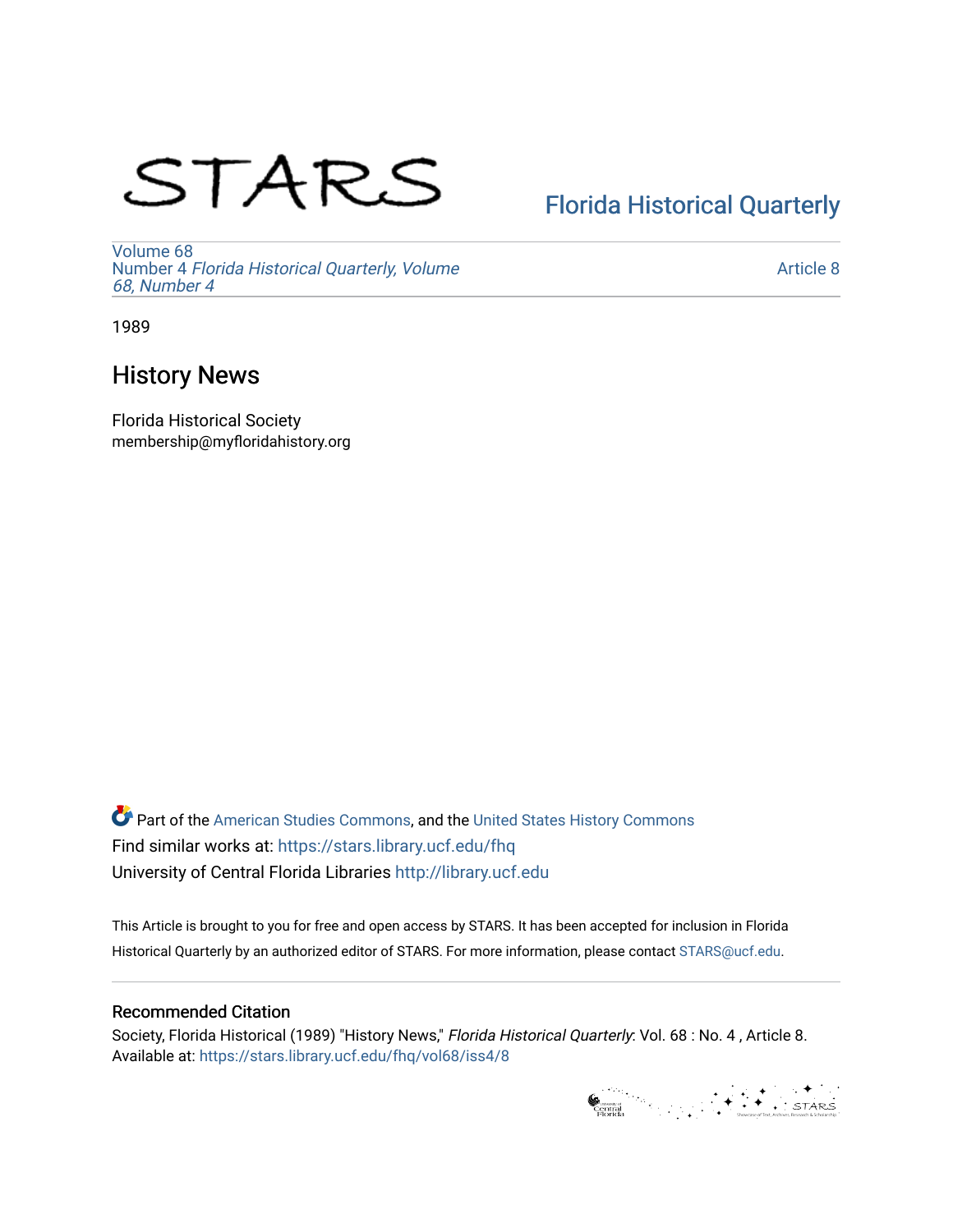# STARS

# [Florida Historical Quarterly](https://stars.library.ucf.edu/fhq)

[Volume 68](https://stars.library.ucf.edu/fhq/vol68) Number 4 [Florida Historical Quarterly, Volume](https://stars.library.ucf.edu/fhq/vol68/iss4)  [68, Number 4](https://stars.library.ucf.edu/fhq/vol68/iss4)

[Article 8](https://stars.library.ucf.edu/fhq/vol68/iss4/8) 

1989

# History News

Florida Historical Society membership@myfloridahistory.org

**C** Part of the [American Studies Commons](http://network.bepress.com/hgg/discipline/439?utm_source=stars.library.ucf.edu%2Ffhq%2Fvol68%2Fiss4%2F8&utm_medium=PDF&utm_campaign=PDFCoverPages), and the United States History Commons Find similar works at: <https://stars.library.ucf.edu/fhq> University of Central Florida Libraries [http://library.ucf.edu](http://library.ucf.edu/) 

This Article is brought to you for free and open access by STARS. It has been accepted for inclusion in Florida Historical Quarterly by an authorized editor of STARS. For more information, please contact [STARS@ucf.edu.](mailto:STARS@ucf.edu)

# Recommended Citation

Society, Florida Historical (1989) "History News," Florida Historical Quarterly: Vol. 68 : No. 4 , Article 8. Available at: [https://stars.library.ucf.edu/fhq/vol68/iss4/8](https://stars.library.ucf.edu/fhq/vol68/iss4/8?utm_source=stars.library.ucf.edu%2Ffhq%2Fvol68%2Fiss4%2F8&utm_medium=PDF&utm_campaign=PDFCoverPages) 

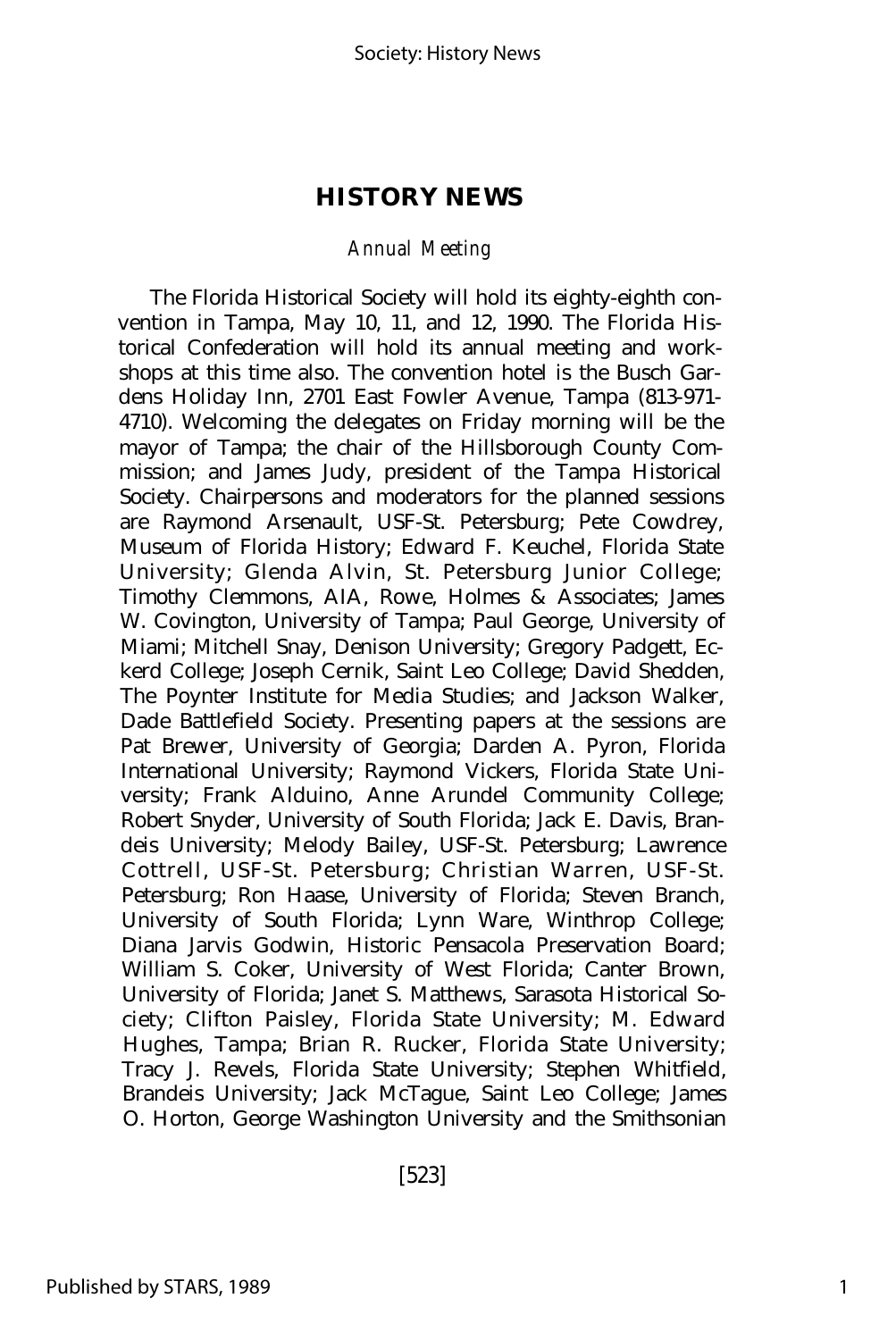## *Annual Meeting*

The Florida Historical Society will hold its eighty-eighth convention in Tampa, May 10, 11, and 12, 1990. The Florida Historical Confederation will hold its annual meeting and workshops at this time also. The convention hotel is the Busch Gardens Holiday Inn, 2701 East Fowler Avenue, Tampa (813-971- 4710). Welcoming the delegates on Friday morning will be the mayor of Tampa; the chair of the Hillsborough County Commission; and James Judy, president of the Tampa Historical Society. Chairpersons and moderators for the planned sessions are Raymond Arsenault, USF-St. Petersburg; Pete Cowdrey, Museum of Florida History; Edward F. Keuchel, Florida State University; Glenda Alvin, St. Petersburg Junior College; Timothy Clemmons, AIA, Rowe, Holmes & Associates; James W. Covington, University of Tampa; Paul George, University of Miami; Mitchell Snay, Denison University; Gregory Padgett, Eckerd College; Joseph Cernik, Saint Leo College; David Shedden, The Poynter Institute for Media Studies; and Jackson Walker, Dade Battlefield Society. Presenting papers at the sessions are Pat Brewer, University of Georgia; Darden A. Pyron, Florida International University; Raymond Vickers, Florida State University; Frank Alduino, Anne Arundel Community College; Robert Snyder, University of South Florida; Jack E. Davis, Brandeis University; Melody Bailey, USF-St. Petersburg; Lawrence Cottrell, USF-St. Petersburg; Christian Warren, USF-St. Petersburg; Ron Haase, University of Florida; Steven Branch, University of South Florida; Lynn Ware, Winthrop College; Diana Jarvis Godwin, Historic Pensacola Preservation Board; William S. Coker, University of West Florida; Canter Brown, University of Florida; Janet S. Matthews, Sarasota Historical Society; Clifton Paisley, Florida State University; M. Edward Hughes, Tampa; Brian R. Rucker, Florida State University; Tracy J. Revels, Florida State University; Stephen Whitfield, Brandeis University; Jack McTague, Saint Leo College; James O. Horton, George Washington University and the Smithsonian

[523]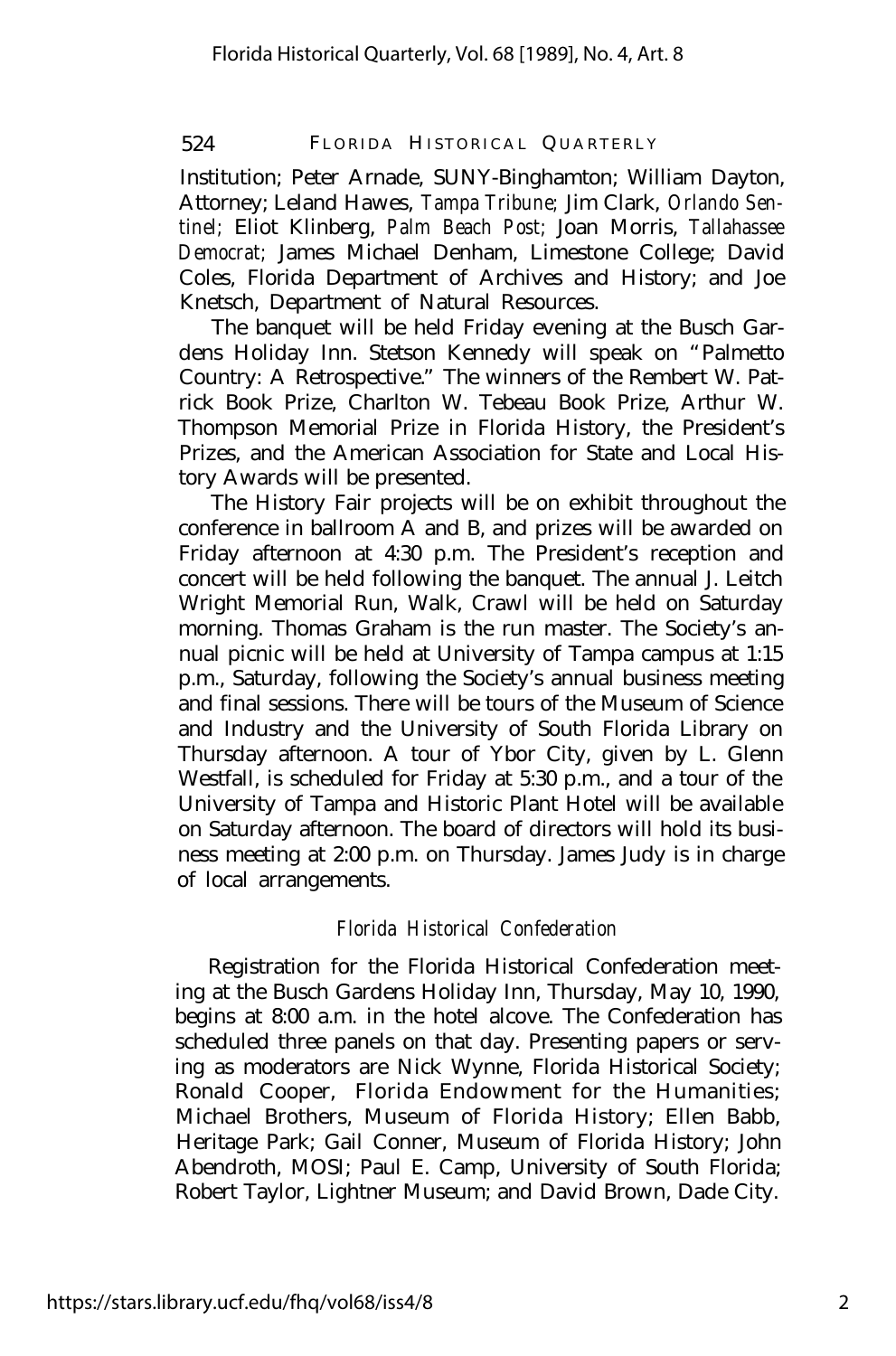Institution; Peter Arnade, SUNY-Binghamton; William Dayton, Attorney; Leland Hawes, *Tampa Tribune;* Jim Clark, *Orlando Sentinel;* Eliot Klinberg, *Palm Beach Post;* Joan Morris, *Tallahassee Democrat;* James Michael Denham, Limestone College; David Coles, Florida Department of Archives and History; and Joe Knetsch, Department of Natural Resources.

The banquet will be held Friday evening at the Busch Gardens Holiday Inn. Stetson Kennedy will speak on "Palmetto Country: A Retrospective." The winners of the Rembert W. Patrick Book Prize, Charlton W. Tebeau Book Prize, Arthur W. Thompson Memorial Prize in Florida History, the President's Prizes, and the American Association for State and Local History Awards will be presented.

The History Fair projects will be on exhibit throughout the conference in ballroom A and B, and prizes will be awarded on Friday afternoon at 4:30 p.m. The President's reception and concert will be held following the banquet. The annual J. Leitch Wright Memorial Run, Walk, Crawl will be held on Saturday morning. Thomas Graham is the run master. The Society's annual picnic will be held at University of Tampa campus at 1:15 p.m., Saturday, following the Society's annual business meeting and final sessions. There will be tours of the Museum of Science and Industry and the University of South Florida Library on Thursday afternoon. A tour of Ybor City, given by L. Glenn Westfall, is scheduled for Friday at 5:30 p.m., and a tour of the University of Tampa and Historic Plant Hotel will be available on Saturday afternoon. The board of directors will hold its business meeting at 2:00 p.m. on Thursday. James Judy is in charge of local arrangements.

# *Florida Historical Confederation*

Registration for the Florida Historical Confederation meeting at the Busch Gardens Holiday Inn, Thursday, May 10, 1990, begins at 8:00 a.m. in the hotel alcove. The Confederation has scheduled three panels on that day. Presenting papers or serving as moderators are Nick Wynne, Florida Historical Society; Ronald Cooper, Florida Endowment for the Humanities; Michael Brothers, Museum of Florida History; Ellen Babb, Heritage Park; Gail Conner, Museum of Florida History; John Abendroth, MOSI; Paul E. Camp, University of South Florida; Robert Taylor, Lightner Museum; and David Brown, Dade City.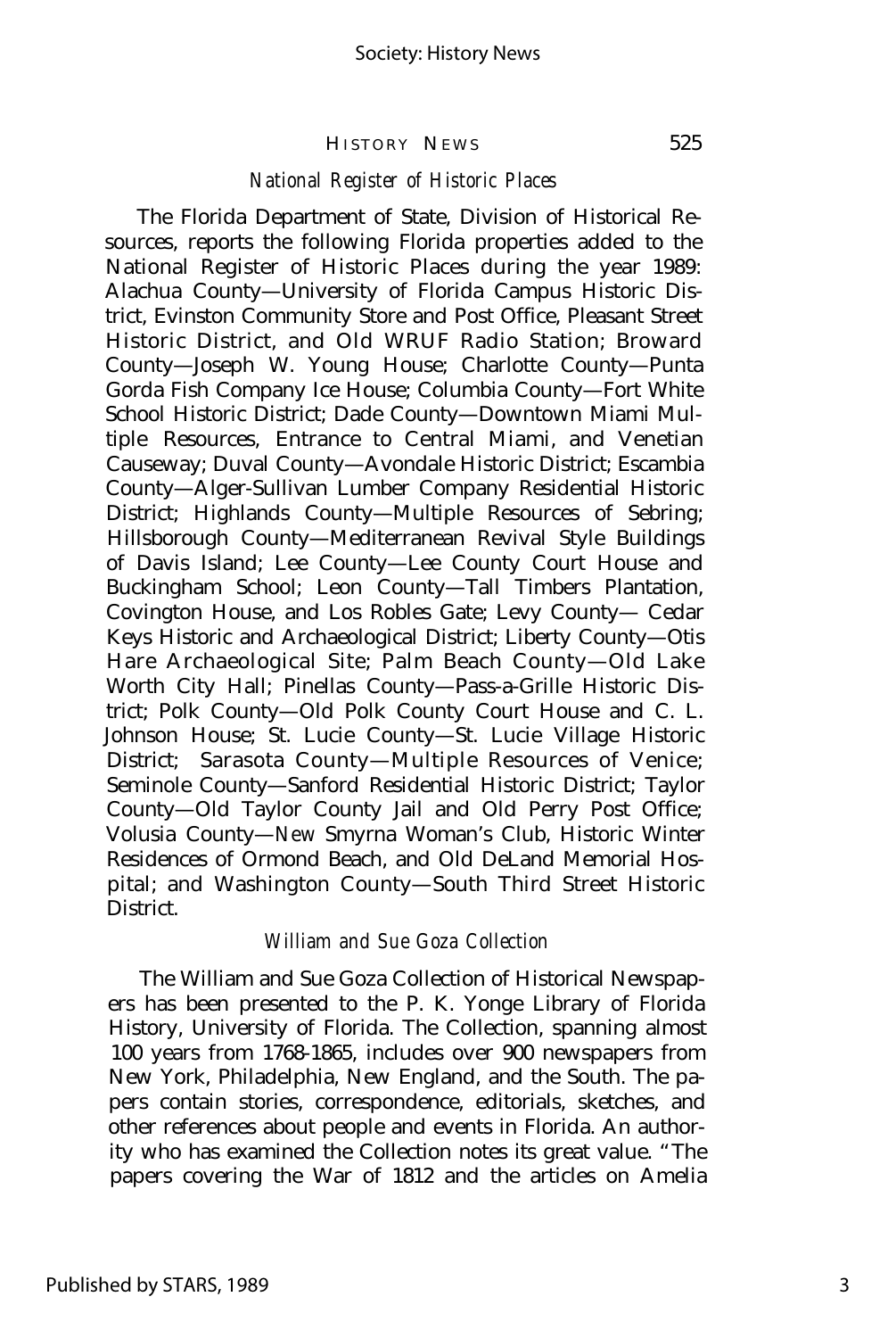#### *National Register of Historic Places*

The Florida Department of State, Division of Historical Resources, reports the following Florida properties added to the National Register of Historic Places during the year 1989: Alachua County— University of Florida Campus Historic District, Evinston Community Store and Post Office, Pleasant Street Historic District, and Old WRUF Radio Station; Broward County— Joseph W. Young House; Charlotte County— Punta Gorda Fish Company Ice House; Columbia County— Fort White School Historic District; Dade County— Downtown Miami Multiple Resources, Entrance to Central Miami, and Venetian Causeway; Duval County— Avondale Historic District; Escambia County— Alger-Sullivan Lumber Company Residential Historic District; Highlands County— Multiple Resources of Sebring; Hillsborough County— Mediterranean Revival Style Buildings of Davis Island; Lee County— Lee County Court House and Buckingham School; Leon County— Tall Timbers Plantation, Covington House, and Los Robles Gate; Levy County— Cedar Keys Historic and Archaeological District; Liberty County— Otis Hare Archaeological Site; Palm Beach County— Old Lake Worth City Hall; Pinellas County— Pass-a-Grille Historic District; Polk County— Old Polk County Court House and C. L. Johnson House; St. Lucie County— St. Lucie Village Historic District; Sarasota County— Multiple Resources of Venice; Seminole County— Sanford Residential Historic District; Taylor County— Old Taylor County Jail and Old Perry Post Office; Volusia County— New Smyrna Woman's Club, Historic Winter Residences of Ormond Beach, and Old DeLand Memorial Hospital; and Washington County— South Third Street Historic District.

#### *William and Sue Goza Collection*

The William and Sue Goza Collection of Historical Newspapers has been presented to the P. K. Yonge Library of Florida History, University of Florida. The Collection, spanning almost 100 years from 1768-1865, includes over 900 newspapers from New York, Philadelphia, New England, and the South. The papers contain stories, correspondence, editorials, sketches, and other references about people and events in Florida. An authority who has examined the Collection notes its great value. "The papers covering the War of 1812 and the articles on Amelia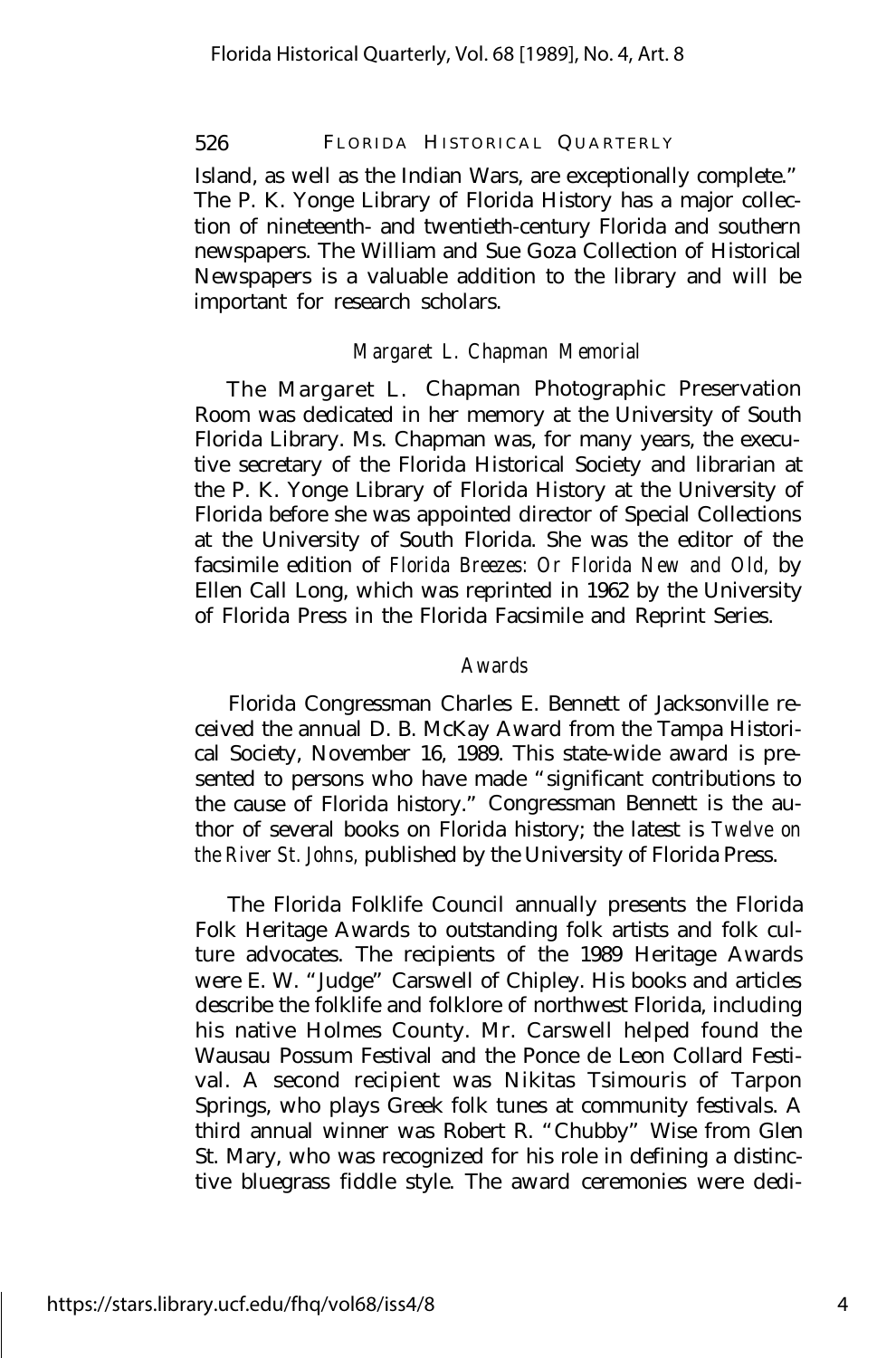Island, as well as the Indian Wars, are exceptionally complete." The P. K. Yonge Library of Florida History has a major collection of nineteenth- and twentieth-century Florida and southern newspapers. The William and Sue Goza Collection of Historical Newspapers is a valuable addition to the library and will be important for research scholars.

# *Margaret L. Chapman Memorial*

The Margaret L. Chapman Photographic Preservation Room was dedicated in her memory at the University of South Florida Library. Ms. Chapman was, for many years, the executive secretary of the Florida Historical Society and librarian at the P. K. Yonge Library of Florida History at the University of Florida before she was appointed director of Special Collections at the University of South Florida. She was the editor of the facsimile edition of *Florida Breezes: Or Florida New and Old,* by Ellen Call Long, which was reprinted in 1962 by the University of Florida Press in the Florida Facsimile and Reprint Series.

### *Awards*

Florida Congressman Charles E. Bennett of Jacksonville received the annual D. B. McKay Award from the Tampa Historical Society, November 16, 1989. This state-wide award is presented to persons who have made "significant contributions to the cause of Florida history." Congressman Bennett is the author of several books on Florida history; the latest is *Twelve on the River St. Johns,* published by the University of Florida Press.

The Florida Folklife Council annually presents the Florida Folk Heritage Awards to outstanding folk artists and folk culture advocates. The recipients of the 1989 Heritage Awards were E. W. "Judge" Carswell of Chipley. His books and articles describe the folklife and folklore of northwest Florida, including his native Holmes County. Mr. Carswell helped found the Wausau Possum Festival and the Ponce de Leon Collard Festival. A second recipient was Nikitas Tsimouris of Tarpon Springs, who plays Greek folk tunes at community festivals. A third annual winner was Robert R. "Chubby" Wise from Glen St. Mary, who was recognized for his role in defining a distinctive bluegrass fiddle style. The award ceremonies were dedi-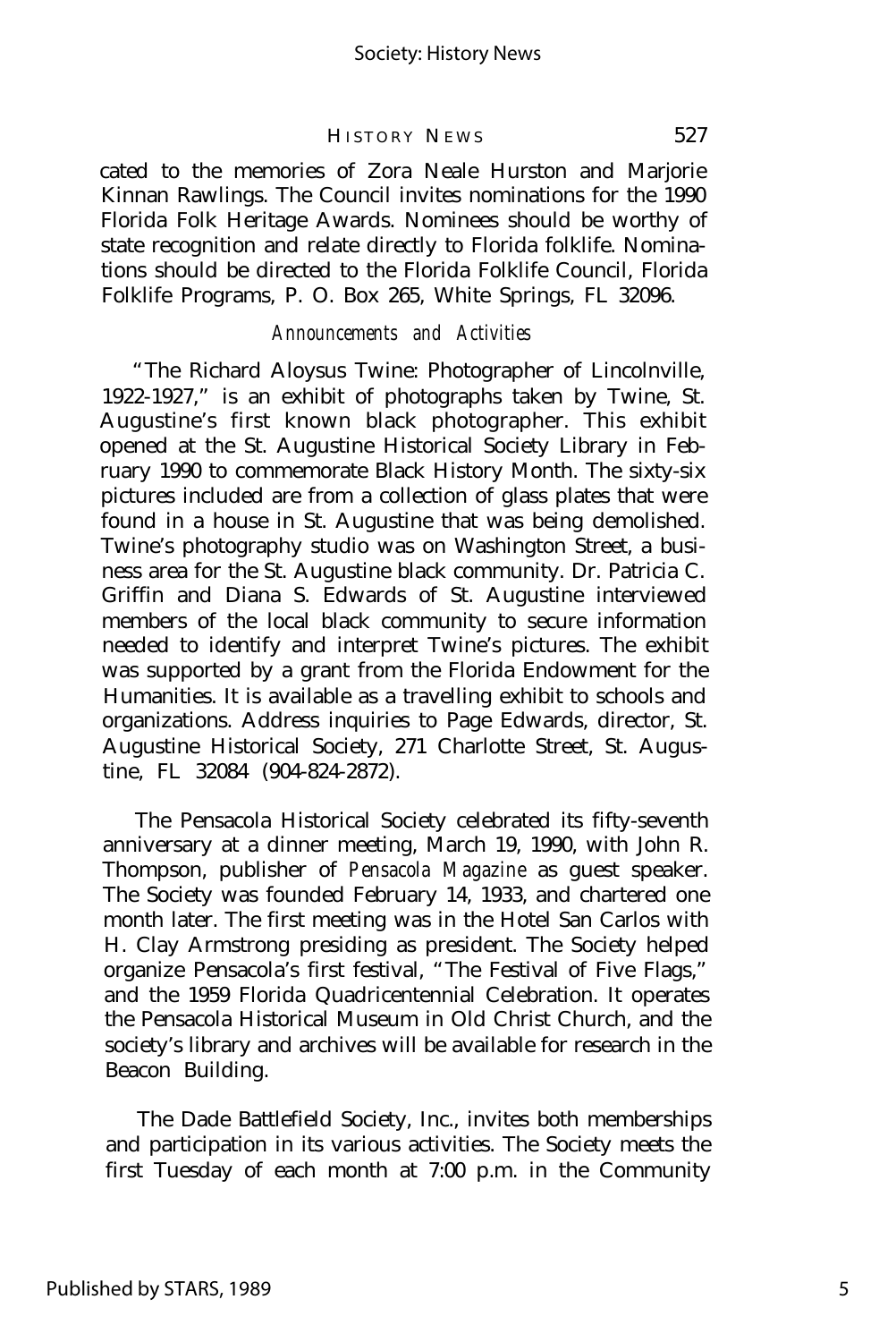cated to the memories of Zora Neale Hurston and Marjorie Kinnan Rawlings. The Council invites nominations for the 1990 Florida Folk Heritage Awards. Nominees should be worthy of state recognition and relate directly to Florida folklife. Nominations should be directed to the Florida Folklife Council, Florida Folklife Programs, P. O. Box 265, White Springs, FL 32096.

#### *Announcements and Activities*

"The Richard Aloysus Twine: Photographer of Lincolnville, 1922-1927," is an exhibit of photographs taken by Twine, St. Augustine's first known black photographer. This exhibit opened at the St. Augustine Historical Society Library in February 1990 to commemorate Black History Month. The sixty-six pictures included are from a collection of glass plates that were found in a house in St. Augustine that was being demolished. Twine's photography studio was on Washington Street, a business area for the St. Augustine black community. Dr. Patricia C. Griffin and Diana S. Edwards of St. Augustine interviewed members of the local black community to secure information needed to identify and interpret Twine's pictures. The exhibit was supported by a grant from the Florida Endowment for the Humanities. It is available as a travelling exhibit to schools and organizations. Address inquiries to Page Edwards, director, St. Augustine Historical Society, 271 Charlotte Street, St. Augustine, FL 32084 (904-824-2872).

The Pensacola Historical Society celebrated its fifty-seventh anniversary at a dinner meeting, March 19, 1990, with John R. Thompson, publisher of *Pensacola Magazine* as guest speaker. The Society was founded February 14, 1933, and chartered one month later. The first meeting was in the Hotel San Carlos with H. Clay Armstrong presiding as president. The Society helped organize Pensacola's first festival, "The Festival of Five Flags," and the 1959 Florida Quadricentennial Celebration. It operates the Pensacola Historical Museum in Old Christ Church, and the society's library and archives will be available for research in the Beacon Building.

The Dade Battlefield Society, Inc., invites both memberships and participation in its various activities. The Society meets the first Tuesday of each month at 7:00 p.m. in the Community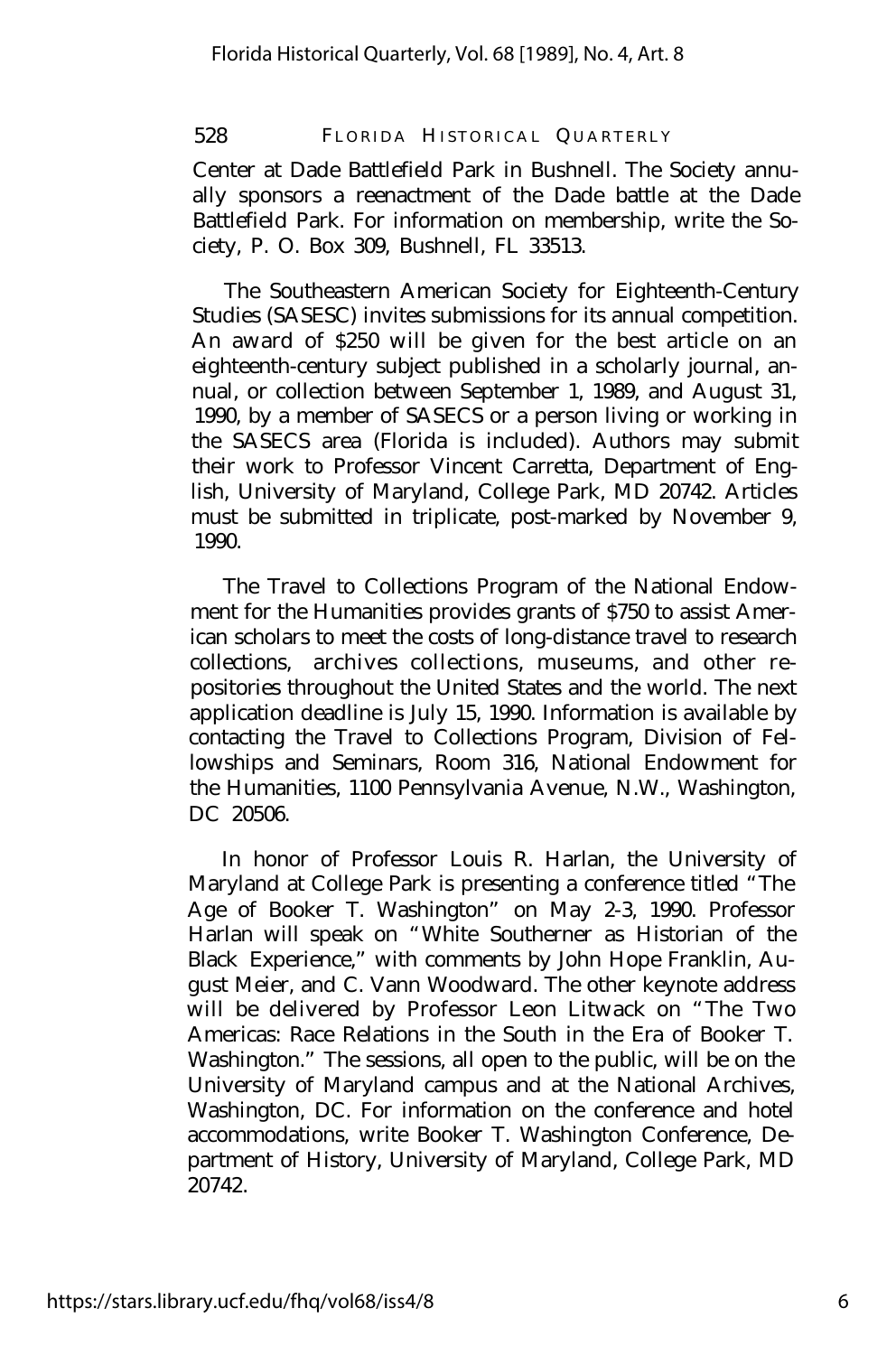Center at Dade Battlefield Park in Bushnell. The Society annually sponsors a reenactment of the Dade battle at the Dade Battlefield Park. For information on membership, write the Society, P. O. Box 309, Bushnell, FL 33513.

The Southeastern American Society for Eighteenth-Century Studies (SASESC) invites submissions for its annual competition. An award of \$250 will be given for the best article on an eighteenth-century subject published in a scholarly journal, annual, or collection between September 1, 1989, and August 31, 1990, by a member of SASECS or a person living or working in the SASECS area (Florida is included). Authors may submit their work to Professor Vincent Carretta, Department of English, University of Maryland, College Park, MD 20742. Articles must be submitted in triplicate, post-marked by November 9, 1990.

The Travel to Collections Program of the National Endowment for the Humanities provides grants of \$750 to assist American scholars to meet the costs of long-distance travel to research collections, archives collections, museums, and other repositories throughout the United States and the world. The next application deadline is July 15, 1990. Information is available by contacting the Travel to Collections Program, Division of Fellowships and Seminars, Room 316, National Endowment for the Humanities, 1100 Pennsylvania Avenue, N.W., Washington, DC 20506.

In honor of Professor Louis R. Harlan, the University of Maryland at College Park is presenting a conference titled "The Age of Booker T. Washington" on May 2-3, 1990. Professor Harlan will speak on "White Southerner as Historian of the Black Experience," with comments by John Hope Franklin, August Meier, and C. Vann Woodward. The other keynote address will be delivered by Professor Leon Litwack on "The Two Americas: Race Relations in the South in the Era of Booker T. Washington." The sessions, all open to the public, will be on the University of Maryland campus and at the National Archives, Washington, DC. For information on the conference and hotel accommodations, write Booker T. Washington Conference, Department of History, University of Maryland, College Park, MD 20742.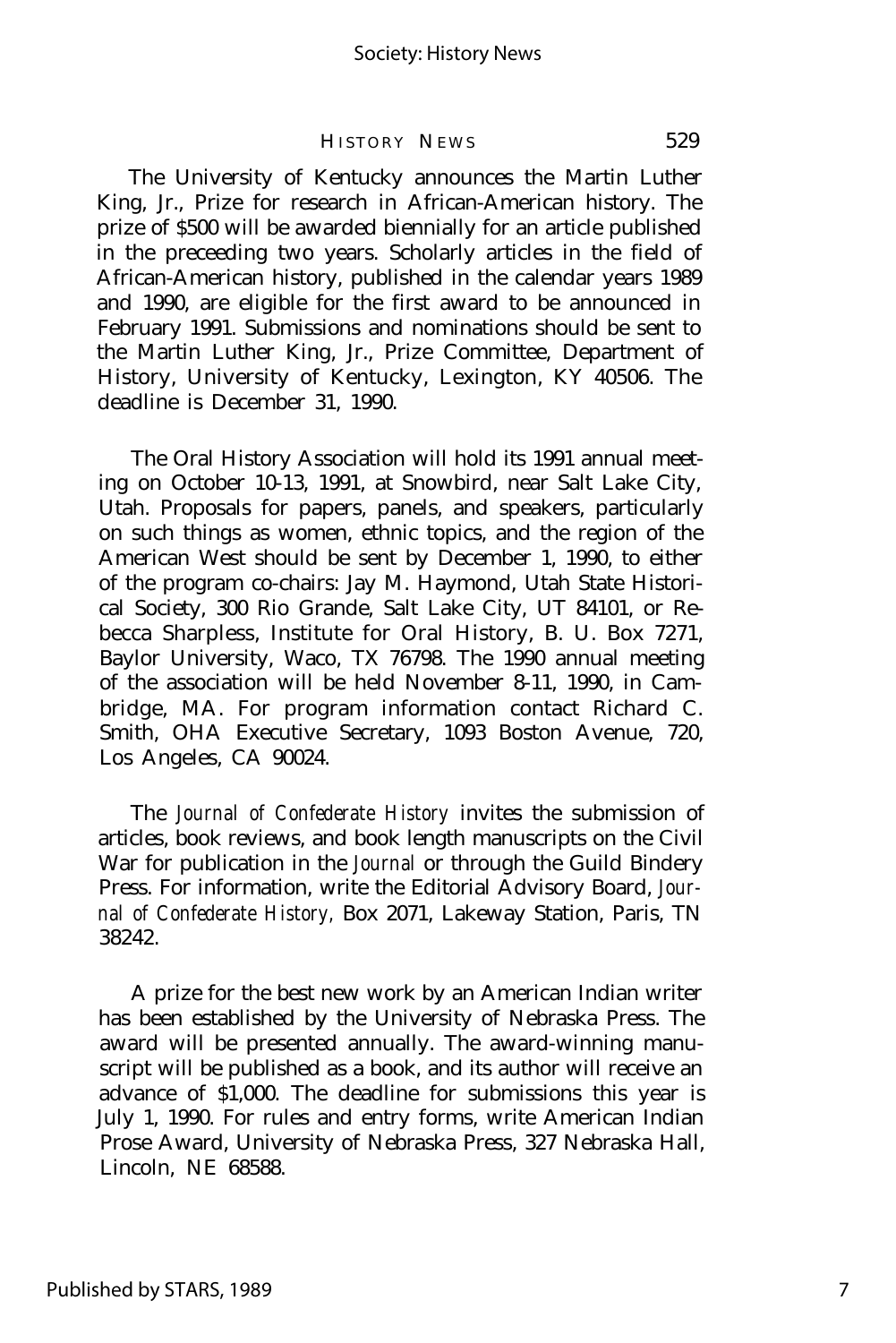The University of Kentucky announces the Martin Luther King, Jr., Prize for research in African-American history. The prize of \$500 will be awarded biennially for an article published in the preceeding two years. Scholarly articles in the field of African-American history, published in the calendar years 1989 and 1990, are eligible for the first award to be announced in February 1991. Submissions and nominations should be sent to the Martin Luther King, Jr., Prize Committee, Department of History, University of Kentucky, Lexington, KY 40506. The deadline is December 31, 1990.

The Oral History Association will hold its 1991 annual meeting on October 10-13, 1991, at Snowbird, near Salt Lake City, Utah. Proposals for papers, panels, and speakers, particularly on such things as women, ethnic topics, and the region of the American West should be sent by December 1, 1990, to either of the program co-chairs: Jay M. Haymond, Utah State Historical Society, 300 Rio Grande, Salt Lake City, UT 84101, or Rebecca Sharpless, Institute for Oral History, B. U. Box 7271, Baylor University, Waco, TX 76798. The 1990 annual meeting of the association will be held November 8-11, 1990, in Cambridge, MA. For program information contact Richard C. Smith, OHA Executive Secretary, 1093 Boston Avenue, 720, Los Angeles, CA 90024.

The *Journal of Confederate History* invites the submission of articles, book reviews, and book length manuscripts on the Civil War for publication in the *Journal* or through the Guild Bindery Press. For information, write the Editorial Advisory Board, *Journal of Confederate History,* Box 2071, Lakeway Station, Paris, TN 38242.

A prize for the best new work by an American Indian writer has been established by the University of Nebraska Press. The award will be presented annually. The award-winning manuscript will be published as a book, and its author will receive an advance of \$1,000. The deadline for submissions this year is July 1, 1990. For rules and entry forms, write American Indian Prose Award, University of Nebraska Press, 327 Nebraska Hall, Lincoln, NE 68588.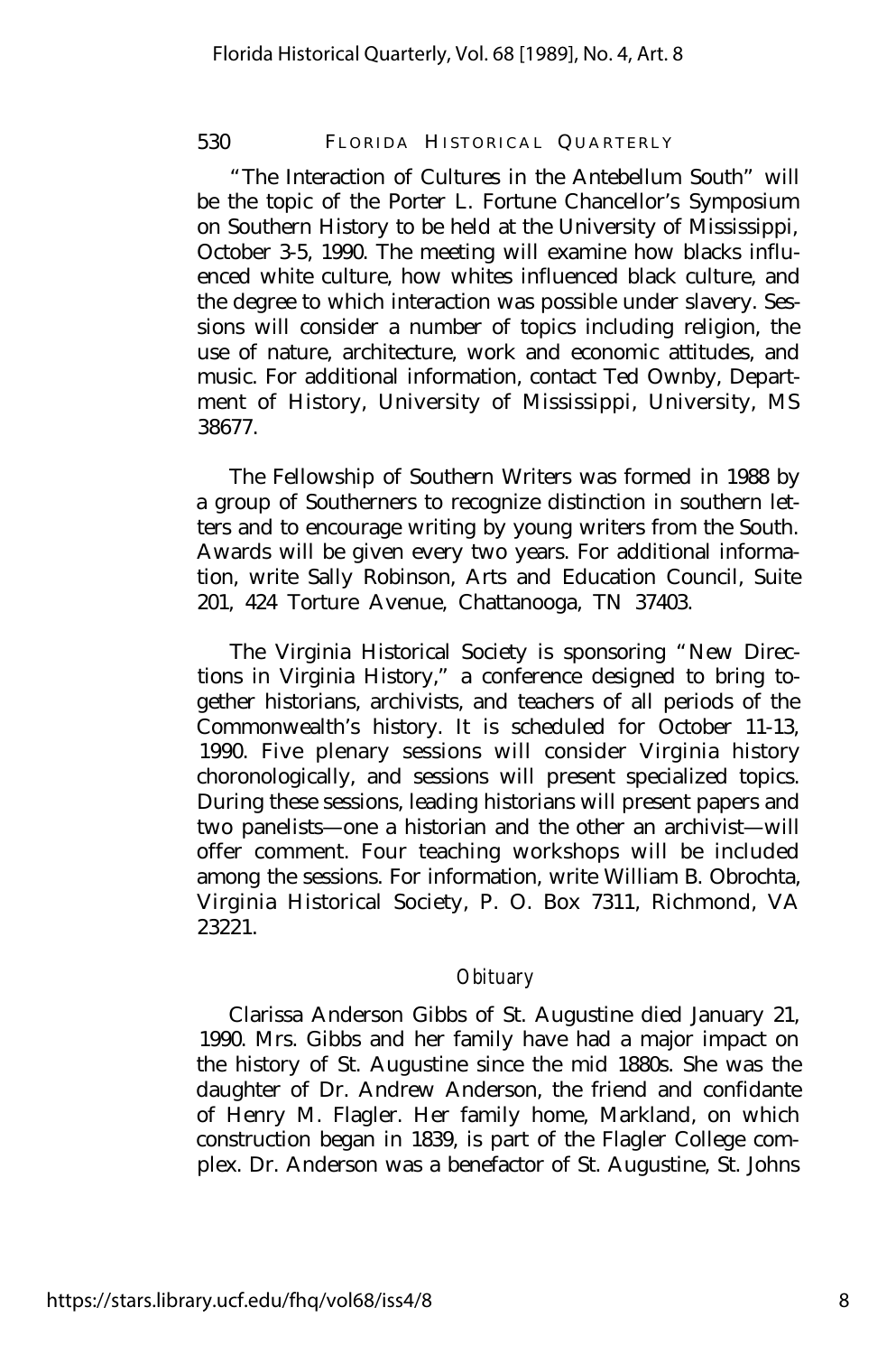"The Interaction of Cultures in the Antebellum South" will be the topic of the Porter L. Fortune Chancellor's Symposium on Southern History to be held at the University of Mississippi, October 3-5, 1990. The meeting will examine how blacks influenced white culture, how whites influenced black culture, and the degree to which interaction was possible under slavery. Sessions will consider a number of topics including religion, the use of nature, architecture, work and economic attitudes, and music. For additional information, contact Ted Ownby, Department of History, University of Mississippi, University, MS 38677.

The Fellowship of Southern Writers was formed in 1988 by a group of Southerners to recognize distinction in southern letters and to encourage writing by young writers from the South. Awards will be given every two years. For additional information, write Sally Robinson, Arts and Education Council, Suite 201, 424 Torture Avenue, Chattanooga, TN 37403.

The Virginia Historical Society is sponsoring "New Directions in Virginia History," a conference designed to bring together historians, archivists, and teachers of all periods of the Commonwealth's history. It is scheduled for October 11-13, 1990. Five plenary sessions will consider Virginia history choronologically, and sessions will present specialized topics. During these sessions, leading historians will present papers and two panelists— one a historian and the other an archivist— will offer comment. Four teaching workshops will be included among the sessions. For information, write William B. Obrochta, Virginia Historical Society, P. O. Box 7311, Richmond, VA 23221.

# *Obituary*

Clarissa Anderson Gibbs of St. Augustine died January 21, 1990. Mrs. Gibbs and her family have had a major impact on the history of St. Augustine since the mid 1880s. She was the daughter of Dr. Andrew Anderson, the friend and confidante of Henry M. Flagler. Her family home, Markland, on which construction began in 1839, is part of the Flagler College complex. Dr. Anderson was a benefactor of St. Augustine, St. Johns